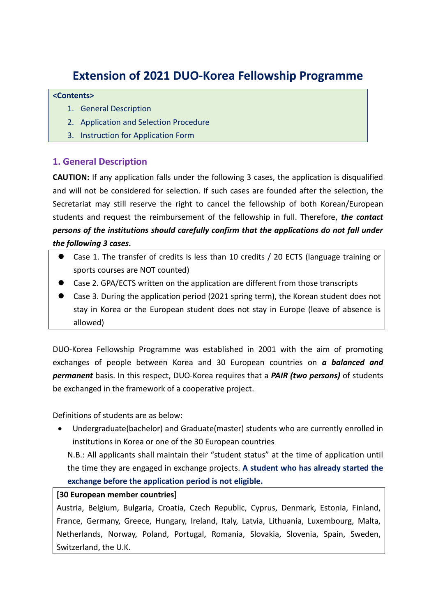# **Extension of 2021 DUO-Korea Fellowship Programme**

#### **<Contents>**

- 1. General Description
- 2. Application and Selection Procedure
- 3. Instruction for Application Form

# **1. General Description**

**CAUTION:** If any application falls under the following 3 cases, the application is disqualified and will not be considered for selection. If such cases are founded after the selection, the Secretariat may still reserve the right to cancel the fellowship of both Korean/European students and request the reimbursement of the fellowship in full. Therefore, *the contact persons of the institutions should carefully confirm that the applications do not fall under the following 3 cases***.**

- Case 1. The transfer of credits is less than 10 credits / 20 ECTS (language training or sports courses are NOT counted)
- Case 2. GPA/ECTS written on the application are different from those transcripts
- Case 3. During the application period (2021 spring term), the Korean student does not stay in Korea or the European student does not stay in Europe (leave of absence is allowed)

DUO-Korea Fellowship Programme was established in 2001 with the aim of promoting exchanges of people between Korea and 30 European countries on *a balanced and permanent* basis. In this respect, DUO-Korea requires that a *PAIR (two persons)* of students be exchanged in the framework of a cooperative project.

Definitions of students are as below:

 Undergraduate(bachelor) and Graduate(master) students who are currently enrolled in institutions in Korea or one of the 30 European countries

N.B.: All applicants shall maintain their "student status" at the time of application until the time they are engaged in exchange projects. **A student who has already started the exchange before the application period is not eligible.**

#### **[30 European member countries]**

Austria, Belgium, Bulgaria, Croatia, Czech Republic, Cyprus, Denmark, Estonia, Finland, France, Germany, Greece, Hungary, Ireland, Italy, Latvia, Lithuania, Luxembourg, Malta, Netherlands, Norway, Poland, Portugal, Romania, Slovakia, Slovenia, Spain, Sweden, Switzerland, the U.K.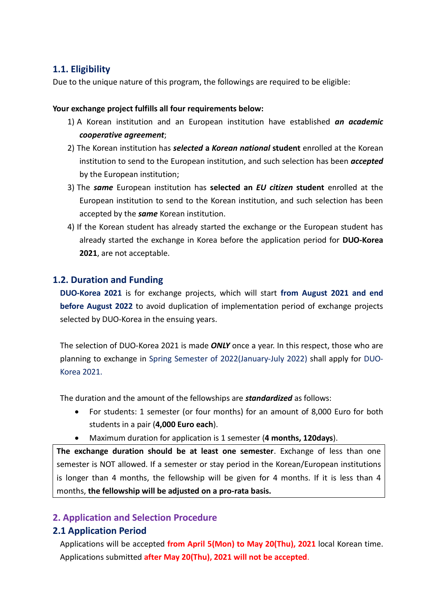# **1.1. Eligibility**

Due to the unique nature of this program, the followings are required to be eligible:

#### **Your exchange project fulfills all four requirements below:**

- 1) A Korean institution and an European institution have established *an academic cooperative agreement*;
- 2) The Korean institution has *selected* **a** *Korean national* **student** enrolled at the Korean institution to send to the European institution, and such selection has been *accepted* by the European institution;
- 3) The *same* European institution has **selected an** *EU citizen* **student** enrolled at the European institution to send to the Korean institution, and such selection has been accepted by the *same* Korean institution.
- 4) If the Korean student has already started the exchange or the European student has already started the exchange in Korea before the application period for **DUO-Korea 2021**, are not acceptable.

### **1.2. Duration and Funding**

**DUO-Korea 2021** is for exchange projects, which will start **from August 2021 and end before August 2022** to avoid duplication of implementation period of exchange projects selected by DUO-Korea in the ensuing years.

The selection of DUO-Korea 2021 is made *ONLY* once a year. In this respect, those who are planning to exchange in Spring Semester of 2022(January-July 2022) shall apply for DUO-Korea 2021.

The duration and the amount of the fellowships are *standardized* as follows:

- For students: 1 semester (or four months) for an amount of 8,000 Euro for both students in a pair (**4,000 Euro each**).
- Maximum duration for application is 1 semester (**4 months, 120days**).

**The exchange duration should be at least one semester**. Exchange of less than one semester is NOT allowed. If a semester or stay period in the Korean/European institutions is longer than 4 months, the fellowship will be given for 4 months. If it is less than 4 months, **the fellowship will be adjusted on a pro-rata basis.**

### **2. Application and Selection Procedure**

### **2.1 Application Period**

Applications will be accepted **from April 5(Mon) to May 20(Thu), 2021** local Korean time. Applications submitted **after May 20(Thu), 2021 will not be accepted**.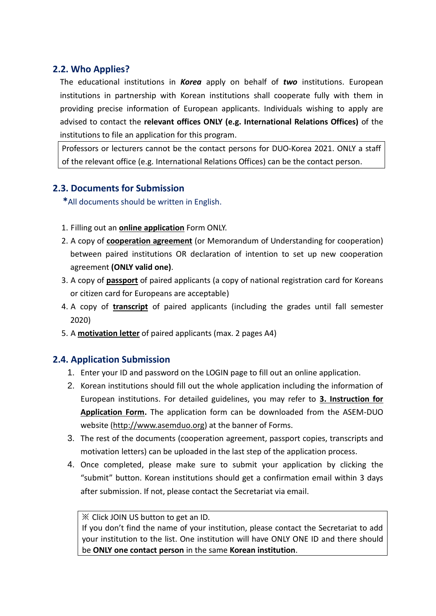# **2.2. Who Applies?**

The educational institutions in *Korea* apply on behalf of *two* institutions. European institutions in partnership with Korean institutions shall cooperate fully with them in providing precise information of European applicants. Individuals wishing to apply are advised to contact the **relevant offices ONLY (e.g. International Relations Offices)** of the institutions to file an application for this program.

Professors or lecturers cannot be the contact persons for DUO-Korea 2021. ONLY a staff of the relevant office (e.g. International Relations Offices) can be the contact person.

# **2.3. Documents for Submission**

**\***All documents should be written in English.

- 1. Filling out an **online application** Form ONLY.
- 2. A copy of **cooperation agreement** (or Memorandum of Understanding for cooperation) between paired institutions OR declaration of intention to set up new cooperation agreement **(ONLY valid one)**.
- 3. A copy of **passport** of paired applicants (a copy of national registration card for Koreans or citizen card for Europeans are acceptable)
- 4. A copy of **transcript** of paired applicants (including the grades until fall semester 2020)
- 5. A **motivation letter** of paired applicants (max. 2 pages A4)

### **2.4. Application Submission**

- 1. Enter your ID and password on the LOGIN page to fill out an online application.
- 2. Korean institutions should fill out the whole application including the information of European institutions. For detailed guidelines, you may refer to **3. Instruction for Application Form.** The application form can be downloaded from the ASEM-DUO website [\(http://www.asemduo.org\)](http://www.asemduo.org/) at the banner of Forms.
- 3. The rest of the documents (cooperation agreement, passport copies, transcripts and motivation letters) can be uploaded in the last step of the application process.
- 4. Once completed, please make sure to submit your application by clicking the "submit" button. Korean institutions should get a confirmation email within 3 days after submission. If not, please contact the Secretariat via email.

#### ※ Click JOIN US button to get an ID.

If you don't find the name of your institution, please contact the Secretariat to add your institution to the list. One institution will have ONLY ONE ID and there should be **ONLY one contact person** in the same **Korean institution**.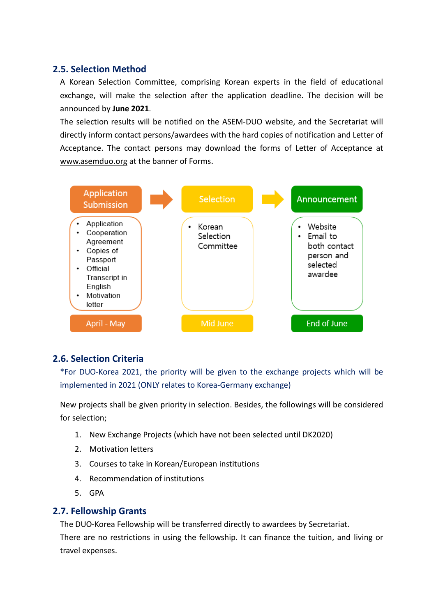### **2.5. Selection Method**

A Korean Selection Committee, comprising Korean experts in the field of educational exchange, will make the selection after the application deadline. The decision will be announced by **June 2021**.

The selection results will be notified on the ASEM-DUO website, and the Secretariat will directly inform contact persons/awardees with the hard copies of notification and Letter of Acceptance. The contact persons may download the forms of Letter of Acceptance at [www.asemduo.org](http://www.asemduo.org/) at the banner of Forms.



### **2.6. Selection Criteria**

\*For DUO-Korea 2021, the priority will be given to the exchange projects which will be implemented in 2021 (ONLY relates to Korea-Germany exchange)

New projects shall be given priority in selection. Besides, the followings will be considered for selection;

- 1. New Exchange Projects (which have not been selected until DK2020)
- 2. Motivation letters
- 3. Courses to take in Korean/European institutions
- 4. Recommendation of institutions
- 5. GPA

### **2.7. Fellowship Grants**

The DUO-Korea Fellowship will be transferred directly to awardees by Secretariat. There are no restrictions in using the fellowship. It can finance the tuition, and living or travel expenses.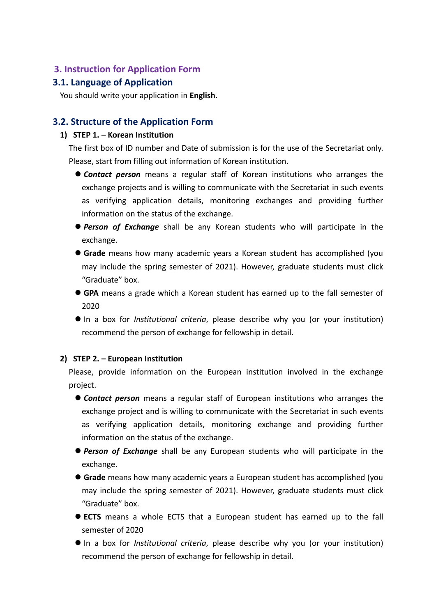### **3. Instruction for Application Form**

### **3.1. Language of Application**

You should write your application in **English**.

### **3.2. Structure of the Application Form**

#### **1) STEP 1. – Korean Institution**

The first box of ID number and Date of submission is for the use of the Secretariat only. Please, start from filling out information of Korean institution.

- *Contact person* means a regular staff of Korean institutions who arranges the exchange projects and is willing to communicate with the Secretariat in such events as verifying application details, monitoring exchanges and providing further information on the status of the exchange.
- *Person of Exchange* shall be any Korean students who will participate in the exchange.
- **Grade** means how many academic years a Korean student has accomplished (you may include the spring semester of 2021). However, graduate students must click "Graduate" box.
- **GPA** means a grade which a Korean student has earned up to the fall semester of 2020
- In a box for *Institutional criteria*, please describe why you (or your institution) recommend the person of exchange for fellowship in detail.

#### **2) STEP 2. – European Institution**

Please, provide information on the European institution involved in the exchange project.

- *Contact person* means a regular staff of European institutions who arranges the exchange project and is willing to communicate with the Secretariat in such events as verifying application details, monitoring exchange and providing further information on the status of the exchange.
- *Person of Exchange* shall be any European students who will participate in the exchange.
- **Grade** means how many academic years a European student has accomplished (you may include the spring semester of 2021). However, graduate students must click "Graduate" box.
- **ECTS** means a whole ECTS that a European student has earned up to the fall semester of 2020
- In a box for *Institutional criteria*, please describe why you (or your institution) recommend the person of exchange for fellowship in detail.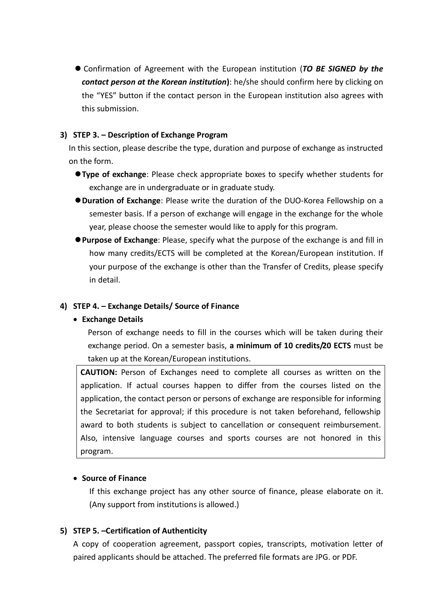Confirmation of Agreement with the European institution (*TO BE SIGNED by the contact person at the Korean institution***)**: he/she should confirm here by clicking on the "YES" button if the contact person in the European institution also agrees with this submission.

#### **3) STEP 3. – Description of Exchange Program**

In this section, please describe the type, duration and purpose of exchange as instructed on the form.

- **Type of exchange**: Please check appropriate boxes to specify whether students for exchange are in undergraduate or in graduate study.
- **Duration of Exchange**: Please write the duration of the DUO-Korea Fellowship on a semester basis. If a person of exchange will engage in the exchange for the whole year, please choose the semester would like to apply for this program.
- **Purpose of Exchange**: Please, specify what the purpose of the exchange is and fill in how many credits/ECTS will be completed at the Korean/European institution. If your purpose of the exchange is other than the Transfer of Credits, please specify in detail.

#### **4) STEP 4. – Exchange Details/ Source of Finance**

#### **Exchange Details**

Person of exchange needs to fill in the courses which will be taken during their exchange period. On a semester basis, **a minimum of 10 credits/20 ECTS** must be taken up at the Korean/European institutions.

**CAUTION:** Person of Exchanges need to complete all courses as written on the application. If actual courses happen to differ from the courses listed on the application, the contact person or persons of exchange are responsible for informing the Secretariat for approval; if this procedure is not taken beforehand, fellowship award to both students is subject to cancellation or consequent reimbursement. Also, intensive language courses and sports courses are not honored in this program.

#### **• Source of Finance**

If this exchange project has any other source of finance, please elaborate on it. (Any support from institutions is allowed.)

#### **5) STEP 5. –Certification of Authenticity**

A copy of cooperation agreement, passport copies, transcripts, motivation letter of paired applicants should be attached. The preferred file formats are JPG. or PDF.